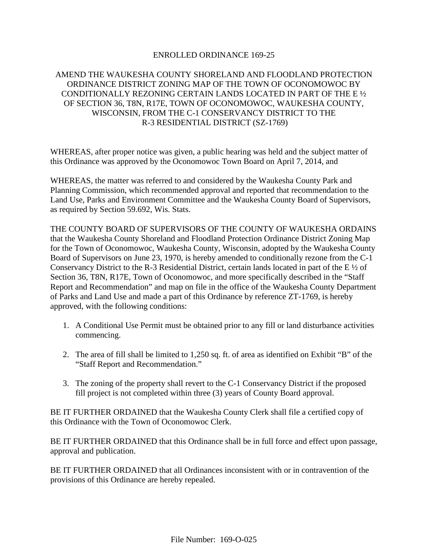#### ENROLLED ORDINANCE 169-25

## AMEND THE WAUKESHA COUNTY SHORELAND AND FLOODLAND PROTECTION ORDINANCE DISTRICT ZONING MAP OF THE TOWN OF OCONOMOWOC BY CONDITIONALLY REZONING CERTAIN LANDS LOCATED IN PART OF THE E ½ OF SECTION 36, T8N, R17E, TOWN OF OCONOMOWOC, WAUKESHA COUNTY, WISCONSIN, FROM THE C-1 CONSERVANCY DISTRICT TO THE R-3 RESIDENTIAL DISTRICT (SZ-1769)

WHEREAS, after proper notice was given, a public hearing was held and the subject matter of this Ordinance was approved by the Oconomowoc Town Board on April 7, 2014, and

WHEREAS, the matter was referred to and considered by the Waukesha County Park and Planning Commission, which recommended approval and reported that recommendation to the Land Use, Parks and Environment Committee and the Waukesha County Board of Supervisors, as required by Section 59.692, Wis. Stats.

THE COUNTY BOARD OF SUPERVISORS OF THE COUNTY OF WAUKESHA ORDAINS that the Waukesha County Shoreland and Floodland Protection Ordinance District Zoning Map for the Town of Oconomowoc, Waukesha County, Wisconsin, adopted by the Waukesha County Board of Supervisors on June 23, 1970, is hereby amended to conditionally rezone from the C-1 Conservancy District to the R-3 Residential District, certain lands located in part of the E ½ of Section 36, T8N, R17E, Town of Oconomowoc, and more specifically described in the "Staff Report and Recommendation" and map on file in the office of the Waukesha County Department of Parks and Land Use and made a part of this Ordinance by reference ZT-1769, is hereby approved, with the following conditions:

- 1. A Conditional Use Permit must be obtained prior to any fill or land disturbance activities commencing.
- 2. The area of fill shall be limited to 1,250 sq. ft. of area as identified on Exhibit "B" of the "Staff Report and Recommendation."
- 3. The zoning of the property shall revert to the C-1 Conservancy District if the proposed fill project is not completed within three (3) years of County Board approval.

BE IT FURTHER ORDAINED that the Waukesha County Clerk shall file a certified copy of this Ordinance with the Town of Oconomowoc Clerk.

BE IT FURTHER ORDAINED that this Ordinance shall be in full force and effect upon passage, approval and publication.

BE IT FURTHER ORDAINED that all Ordinances inconsistent with or in contravention of the provisions of this Ordinance are hereby repealed.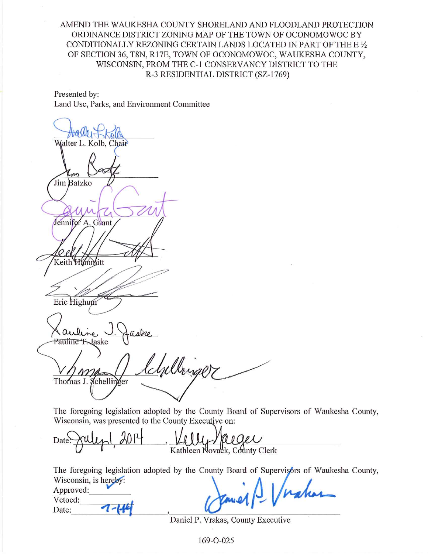## AMEND THE WAUKESHA COUNTY SHORELAND AND FLOODLAND PROTECTION ORDINANCE DISTRICT ZONING MAP OF THE TOWN OF OCONOMOWOC BY CONDITIONALLY REZONING CERTAIN LANDS LOCATED IN PART OF THE E 1/2 OF SECTION 36, T8N, R17E, TOWN OF OCONOMOWOC, WAUKESHA COUNTY, WISCONSIN, FROM THE C-1 CONSERVANCY DISTRICT TO THE R-3 RESIDENTIAL DISTRICT (SZ-1769)

Presented by: Land Use, Parks, and Environment Committee

Walter L. Kolb, Chair Jim Batzko Jennifer A. Grant Keith Hammitt Eric Highum Pauline F. Jaske lchillinger Thomas J. Schellinger

Approved: Vetoed:

Date:

1.

The foregoing legislation adopted by the County Board of Supervisors of Waukesha County, Wisconsin, was presented to the County Executive on:

Date Kathleen Novack, County Clerk

The foregoing legislation adopted by the County Board of Supervisors of Waukesha County, Wisconsin, is herel

| 1 Kmel S Virakas |  |
|------------------|--|

Daniel P. Vrakas, County Executive

169-0-025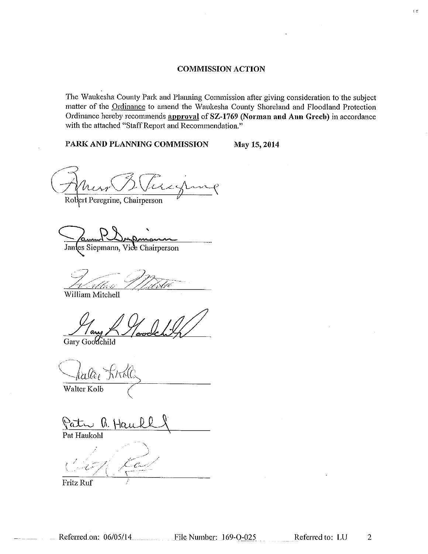#### **COMMISSION ACTION**

The Waukesha County Park and Planning Commission after giving consideration to the subject matter of the Ordinance to amend the Waukesha County Shoreland and Floodland Protection Ordinance hereby recommends approval of SZ-1769 (Norman and Ann Greeb) in accordance with the attached "Staff Report and Recommendation."

PARK AND PLANNING COMMISSION

May 15, 2014

 $\bar{\bar{\bar{z}}}$ 

Robert Peregrine, Chairperson

Jantes Siepmann, Vice Chairperson

William Mitchell

Gary Goodchild

Walter Kolb

Patr B. Hau Pat Haukohl

 $C_{\alpha}$ 

**Fritz Ruf** 

 $\overline{2}$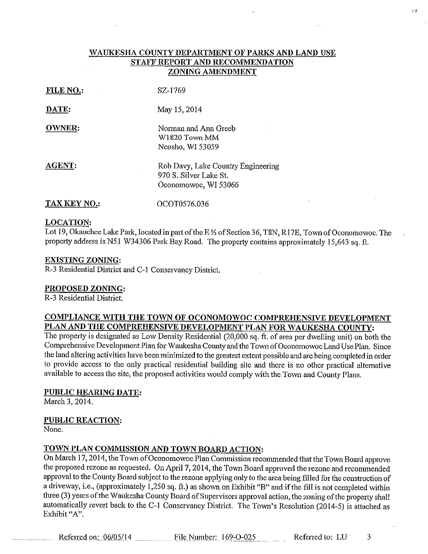#### WAUKESHA COUNTY DEPARTMENT OF PARKS AND LAND USE STAFF REPORT AND RECOMMENDATION ZONING AMENDMENT

| FILE NO.:     | SZ-1769                                                                              |
|---------------|--------------------------------------------------------------------------------------|
| DATE:         | May 15, 2014                                                                         |
| <b>OWNER:</b> | Norman and Ann Greeb<br>W1820 Town MM<br>Neosho, WI 53059                            |
| AGENT:        | Rob Davy, Lake Country Engineering<br>970 S. Silver Lake St.<br>Oconomowoc, WI 53066 |
| TAX KEY NO.:  | OCOT0576.036                                                                         |

# **LOCATION:**

Lot 19, Okauchee Lake Park, located in part of the E 1/2 of Section 36, T8N, R17E, Town of Oconomowoc. The property address is N51 W34306 Park Bay Road. The property contains approximately 15,643 sq. ft.

#### **EXISTING ZONING:**

R-3 Residential District and C-1 Conservancy District.

 $\sim 10$ 

#### PROPOSED ZONING:

R-3 Residential District.

#### COMPLIANCE WITH THE TOWN OF OCONOMOWOC COMPREHENSIVE DEVELOPMENT PLAN AND THE COMPREHENSIVE DEVELOPMENT PLAN FOR WAUKESHA COUNTY:

The property is designated as Low Density Residential (20,000 sq. ft. of area per dwelling unit) on both the Comprehensive Development Plan for Waukesha County and the Town of Oconomowoc Land Use Plan. Since the land altering activities have been minimized to the greatest extent possible and are being completed in order to provide access to the only practical residential building site and there is no other practical alternative available to access the site, the proposed activities would comply with the Town and County Plans.

#### PUBLIC HEARING DATE:

March 3, 2014.

#### **PUBLIC REACTION:**

None.

#### TOWN PLAN COMMISSION AND TOWN BOARD ACTION:

On March 17, 2014, the Town of Oconomowoc Plan Commission recommended that the Town Board approve the proposed rezone as requested. On April 7, 2014, the Town Board approved the rezone and recommended approval to the County Board subject to the rezone applying only to the area being filled for the construction of a driveway, i.e., (approximately 1,250 sq. ft.) as shown on Exhibit "B" and if the fill is not completed within three (3) years of the Waukesha County Board of Supervisors approval action, the zoning of the property shall automatically revert back to the C-1 Conservancy District. The Town's Resolution (2014-5) is attached as Exhibit "A".

Referred on: 06/05/14 File Number: 169-O-025

Referred to: LU

3

 $\epsilon$   $\bar{n}$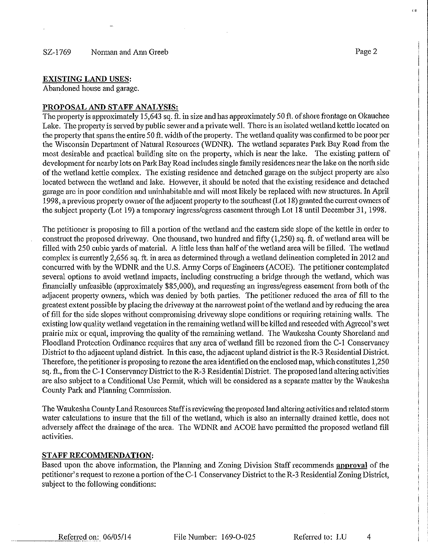Abandoned house and garage.

#### PROPOSAL AND STAFF ANALYSIS:

The property is approximately 15,643 sq. ft. in size and has approximately 50 ft. of shore frontage on Okauchee Lake. The property is served by public sewer and a private well. There is an isolated wetland kettle located on the property that spans the entire 50 ft. width of the property. The wetland quality was confirmed to be poor per the Wisconsin Department of Natural Resources (WDNR). The wetland separates Park Bay Road from the most desirable and practical building site on the property, which is near the lake. The existing pattern of development for nearby lots on Park Bay Road includes single family residences near the lake on the north side of the wetland kettle complex. The existing residence and detached garage on the subject property are also located between the wetland and lake. However, it should be noted that the existing residence and detached garage are in poor condition and uninhabitable and will most likely be replaced with new structures. In April 1998, a previous property owner of the adjacent property to the southeast (Lot 18) granted the current owners of the subject property (Lot 19) a temporary ingress/egress casement through Lot 18 until December 31, 1998.

The petitioner is proposing to fill a portion of the wetland and the eastern side slope of the kettle in order to construct the proposed driveway. One thousand, two hundred and fifty (1,250) sq. ft. of wetland area will be filled with 250 cubic yards of material. A little less than half of the wetland area will be filled. The wetland complex is currently 2,656 sq. ft. in area as determined through a wetland delineation completed in 2012 and concurred with by the WDNR and the U.S. Army Corps of Engineers (ACOE). The petitioner contemplated several options to avoid wetland impacts, including constructing a bridge through the wetland, which was financially unfeasible (approximately \$85,000), and requesting an ingress/egress easement from both of the adjacent property owners, which was denied by both parties. The petitioner reduced the area of fill to the greatest extent possible by placing the driveway at the narrowest point of the wetland and by reducing the area of fill for the side slopes without compromising driveway slope conditions or requiring retaining walls. The existing low quality wetland vegetation in the remaining wetland will be killed and reseeded with Agrecol's wet prairie mix or equal, improving the quality of the remaining wetland. The Waukesha County Shoreland and Floodland Protection Ordinance requires that any area of wetland fill be rezoned from the C-1 Conservancy District to the adjacent upland district. In this case, the adjacent upland district is the R-3 Residential District. Therefore, the petitioner is proposing to rezone the area identified on the enclosed map, which constitutes 1,250 sq. ft., from the C-1 Conservancy District to the R-3 Residential District. The proposed land altering activities are also subject to a Conditional Use Permit, which will be considered as a separate matter by the Waukesha County Park and Planning Commission.

The Waukesha County Land Resources Staff is reviewing the proposed land altering activities and related storm water calculations to insure that the fill of the wetland, which is also an internally drained kettle, does not adversely affect the drainage of the area. The WDNR and ACOE have permitted the proposed wetland fill activities.

#### **STAFF RECOMMENDATION:**

Based upon the above information, the Planning and Zoning Division Staff recommends approval of the petitioner's request to rezone a portion of the C-1 Conservancy District to the R-3 Residential Zoning District, subject to the following conditions:

4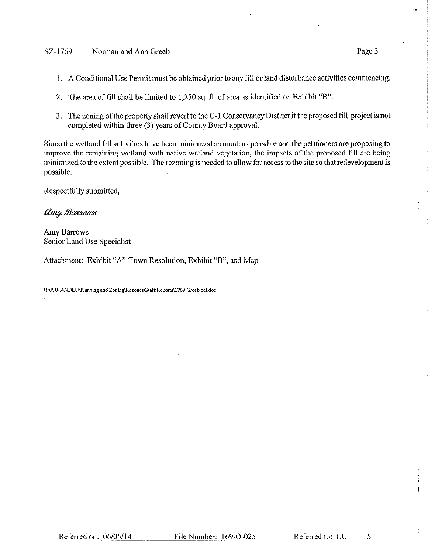#### SZ-1769 Norman and Ann Greeb

- 1. A Conditional Use Permit must be obtained prior to any fill or land disturbance activities commencing.
- 2. The area of fill shall be limited to 1,250 sq. ft. of area as identified on Exhibit "B".
- 3. The zoning of the property shall revert to the C-1 Conservancy District if the proposed fill project is not completed within three (3) years of County Board approval.

Since the wetland fill activities have been minimized as much as possible and the petitioners are proposing to improve the remaining wetland with native wetland vegetation, the impacts of the proposed fill are being minimized to the extent possible. The rezoning is needed to allow for access to the site so that redevelopment is possible.

Respectfully submitted,

#### Amy Barrows

**Amy Barrows** Senior Land Use Specialist

Attachment: Exhibit "A"-Town Resolution, Exhibit "B", and Map

N:\PRKANDLU\Planning and Zoning\Rezones\Staff Reports\1769 Greeb oct.doc

t n

Page 3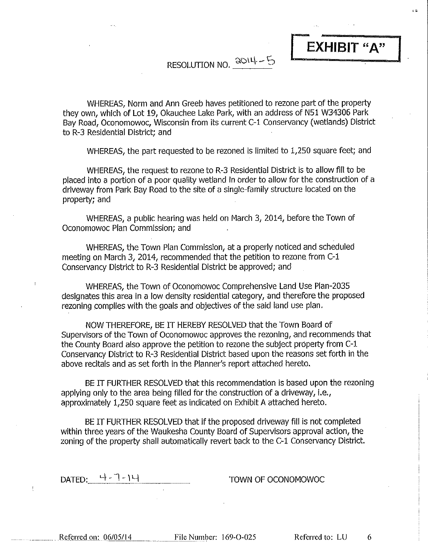RESOLUTION NO. 2014-5

WHEREAS, Norm and Ann Greeb haves petitioned to rezone part of the property they own, which of Lot 19, Okauchee Lake Park, with an address of N51 W34306 Park Bay Road, Oconomowoc, Wisconsin from its current C-1 Conservancy (wetlands) District to R-3 Residential District; and

WHEREAS, the part requested to be rezoned is limited to 1,250 square feet; and

WHEREAS, the request to rezone to R-3 Residential District is to allow fill to be placed into a portion of a poor quality wetland in order to allow for the construction of a driveway from Park Bay Road to the site of a single-family structure located on the property; and

WHEREAS, a public hearing was held on March 3, 2014, before the Town of Oconomowoc Plan Commission; and

WHEREAS, the Town Plan Commission, at a properly noticed and scheduled meeting on March 3, 2014, recommended that the petition to rezone from C-1 Conservancy District to R-3 Residential District be approved; and

WHEREAS, the Town of Oconomowoc Comprehensive Land Use Plan-2035 designates this area in a low density residential category, and therefore the proposed rezoning complies with the goals and objectives of the said land use plan.

NOW THEREFORE, BE IT HEREBY RESOLVED that the Town Board of Supervisors of the Town of Oconomowoc approves the rezoning, and recommends that the County Board also approve the petition to rezone the subject property from C-1 Conservancy District to R-3 Residential District based upon the reasons set forth in the above recitals and as set forth in the Planner's report attached hereto.

BE IT FURTHER RESOLVED that this recommendation is based upon the rezoning applying only to the area being filled for the construction of a driveway, i.e., approximately 1,250 square feet as indicated on Exhibit A attached hereto.

BE IT FURTHER RESOLVED that if the proposed driveway fill is not completed within three years of the Waukesha County Board of Supervisors approval action, the zoning of the property shall automatically revert back to the C-1 Conservancy District.

나-ㄱ-)니 DATED:

TOWN OF OCONOMOWOC

Referred on: 06/05/14

 $\mathfrak k$ 

File Number: 169-O-025

Referred to: LU

6

s e

EXHIBIT "A"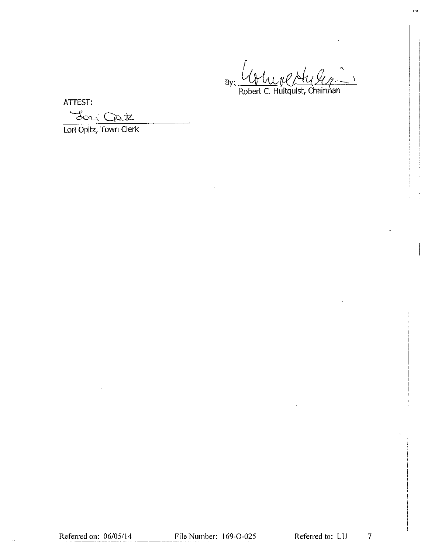$\overline{1}$  $By$ Robert C. Hultquist, Chairman

r a

ATTEST:

Loui Cate

Lori Opitz, Town Clerk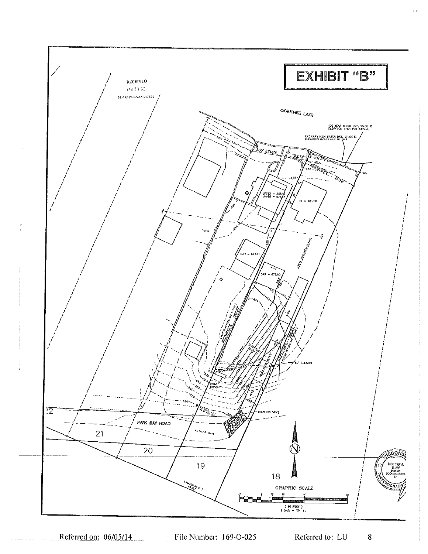

 $\mathfrak{c}$  c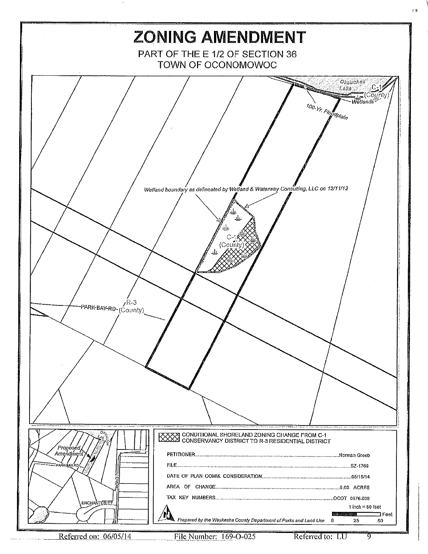

File Number: 169-O-025

ত

e st